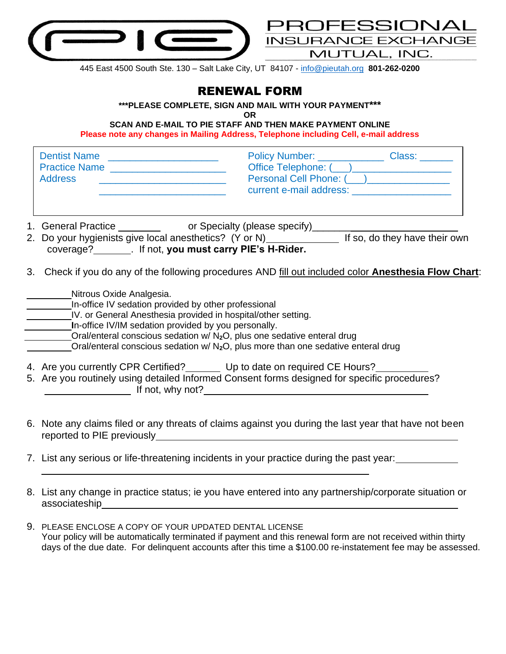

445 East 4500 South Ste. 130 – Salt Lake City, UT 84107 - [info@pieutah.org](mailto:info@pieutah.org) **801-262-0200**

OFESSIONAL

MUTUAL, INC.

## RENEWAL FORM

**\*\*\*PLEASE COMPLETE, SIGN AND MAIL WITH YOUR PAYMENT\*\*\***

**OR** 

**SCAN AND E-MAIL TO PIE STAFF AND THEN MAKE PAYMENT ONLINE Please note any changes in Mailing Address, Telephone including Cell, e-mail address**

| Dentist Name<br>Practice Name<br>Address                                                                                                                                                                                                                                                                                                                                                                                                                                                                   |                                                                                                                                                                                         | Policy Number: Class: Class:<br>Office Telephone: (___)____________________<br>Personal Cell Phone: ( <u>___ ) ______________</u><br>current e-mail address: experience of the control of the control of the control of the control of the control of the control of the control of the control of the control of the control of the control of the control of the |  |
|------------------------------------------------------------------------------------------------------------------------------------------------------------------------------------------------------------------------------------------------------------------------------------------------------------------------------------------------------------------------------------------------------------------------------------------------------------------------------------------------------------|-----------------------------------------------------------------------------------------------------------------------------------------------------------------------------------------|--------------------------------------------------------------------------------------------------------------------------------------------------------------------------------------------------------------------------------------------------------------------------------------------------------------------------------------------------------------------|--|
| coverage? ________. If not, you must carry PIE's H-Rider.                                                                                                                                                                                                                                                                                                                                                                                                                                                  | 1. General Practice ___________ or Specialty (please specify)___________________<br>2. Do your hygienists give local anesthetics? (Y or N) ______________ If so, do they have their own |                                                                                                                                                                                                                                                                                                                                                                    |  |
| 3. Check if you do any of the following procedures AND fill out included color Anesthesia Flow Chart:<br>Nitrous Oxide Analgesia.<br>In-office IV sedation provided by other professional<br>IV. or General Anesthesia provided in hospital/other setting.<br>In-office IV/IM sedation provided by you personally.<br>Oral/enteral conscious sedation w/ N <sub>2</sub> O, plus one sedative enteral drug<br>Oral/enteral conscious sedation w/ N <sub>2</sub> O, plus more than one sedative enteral drug |                                                                                                                                                                                         |                                                                                                                                                                                                                                                                                                                                                                    |  |
| 4. Are you currently CPR Certified? Up to date on required CE Hours?<br>5. Are you routinely using detailed Informed Consent forms designed for specific procedures?<br>If not, why not?                                                                                                                                                                                                                                                                                                                   |                                                                                                                                                                                         |                                                                                                                                                                                                                                                                                                                                                                    |  |

- 6. Note any claims filed or any threats of claims against you during the last year that have not been reported to PIE previously **Example 20** and the previously and the previously and the previously and the previously
- 7. List any serious or life-threatening incidents in your practice during the past year:
- 8. List any change in practice status; ie you have entered into any partnership/corporate situation or associateship
- 9. PLEASE ENCLOSE A COPY OF YOUR UPDATED DENTAL LICENSE Your policy will be automatically terminated if payment and this renewal form are not received within thirty days of the due date. For delinquent accounts after this time a \$100.00 re-instatement fee may be assessed.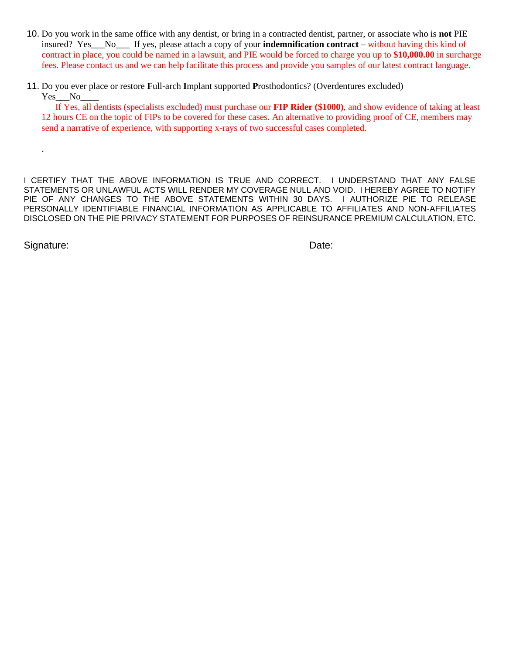- 10. Do you work in the same office with any dentist, or bring in a contracted dentist, partner, or associate who is **not** PIE insured? Yes\_\_\_No\_\_\_ If yes, please attach a copy of your **indemnification contract** – without having this kind of contract in place, you could be named in a lawsuit, and PIE would be forced to charge you up to **\$10,000.00** in surcharge fees. Please contact us and we can help facilitate this process and provide you samples of our latest contract language.
- 11. Do you ever place or restore **F**ull-arch **I**mplant supported **P**rosthodontics? (Overdentures excluded) Yes\_\_No\_

 If Yes, all dentists (specialists excluded) must purchase our **FIP Rider (\$1000)**, and show evidence of taking at least 12 hours CE on the topic of FIPs to be covered for these cases. An alternative to providing proof of CE, members may send a narrative of experience, with supporting x-rays of two successful cases completed.

I CERTIFY THAT THE ABOVE INFORMATION IS TRUE AND CORRECT. I UNDERSTAND THAT ANY FALSE STATEMENTS OR UNLAWFUL ACTS WILL RENDER MY COVERAGE NULL AND VOID. I HEREBY AGREE TO NOTIFY PIE OF ANY CHANGES TO THE ABOVE STATEMENTS WITHIN 30 DAYS. I AUTHORIZE PIE TO RELEASE PERSONALLY IDENTIFIABLE FINANCIAL INFORMATION AS APPLICABLE TO AFFILIATES AND NON-AFFILIATES DISCLOSED ON THE PIE PRIVACY STATEMENT FOR PURPOSES OF REINSURANCE PREMIUM CALCULATION, ETC.

.

Signature: Date: